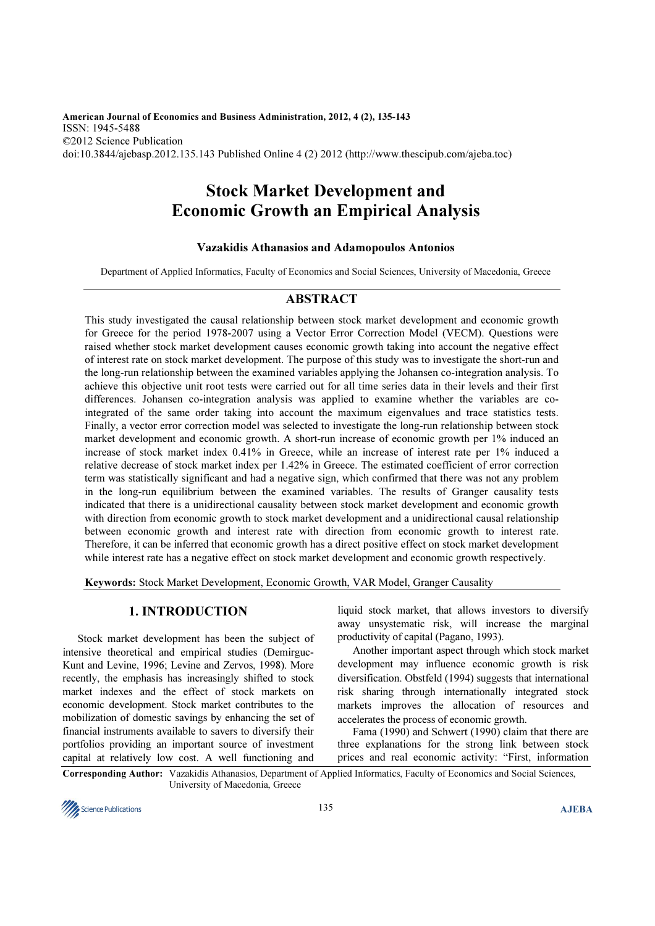American Journal of Economics and Business Administration, 2012, 4 (2), 135-143 ISSN: 1945-5488 ©2012 Science Publication doi:10.3844/ajebasp.2012.135.143 Published Online 4 (2) 2012 (http://www.thescipub.com/ajeba.toc)

# Stock Market Development and Economic Growth an Empirical Analysis

## Vazakidis Athanasios and Adamopoulos Antonios

Department of Applied Informatics, Faculty of Economics and Social Sciences, University of Macedonia, Greece

## ABSTRACT

This study investigated the causal relationship between stock market development and economic growth for Greece for the period 1978-2007 using a Vector Error Correction Model (VECM). Questions were raised whether stock market development causes economic growth taking into account the negative effect of interest rate on stock market development. The purpose of this study was to investigate the short-run and the long-run relationship between the examined variables applying the Johansen co-integration analysis. To achieve this objective unit root tests were carried out for all time series data in their levels and their first differences. Johansen co-integration analysis was applied to examine whether the variables are cointegrated of the same order taking into account the maximum eigenvalues and trace statistics tests. Finally, a vector error correction model was selected to investigate the long-run relationship between stock market development and economic growth. A short-run increase of economic growth per 1% induced an increase of stock market index 0.41% in Greece, while an increase of interest rate per 1% induced a relative decrease of stock market index per 1.42% in Greece. The estimated coefficient of error correction term was statistically significant and had a negative sign, which confirmed that there was not any problem in the long-run equilibrium between the examined variables. The results of Granger causality tests indicated that there is a unidirectional causality between stock market development and economic growth with direction from economic growth to stock market development and a unidirectional causal relationship between economic growth and interest rate with direction from economic growth to interest rate. Therefore, it can be inferred that economic growth has a direct positive effect on stock market development while interest rate has a negative effect on stock market development and economic growth respectively.

Keywords: Stock Market Development, Economic Growth, VAR Model, Granger Causality

# 1. INTRODUCTION

Stock market development has been the subject of intensive theoretical and empirical studies (Demirguc-Kunt and Levine, 1996; Levine and Zervos, 1998). More recently, the emphasis has increasingly shifted to stock market indexes and the effect of stock markets on economic development. Stock market contributes to the mobilization of domestic savings by enhancing the set of financial instruments available to savers to diversify their portfolios providing an important source of investment capital at relatively low cost. A well functioning and

liquid stock market, that allows investors to diversify away unsystematic risk, will increase the marginal productivity of capital (Pagano, 1993).

Another important aspect through which stock market development may influence economic growth is risk diversification. Obstfeld (1994) suggests that international risk sharing through internationally integrated stock markets improves the allocation of resources and accelerates the process of economic growth.

Fama (1990) and Schwert (1990) claim that there are three explanations for the strong link between stock prices and real economic activity: "First, information

Corresponding Author: Vazakidis Athanasios, Department of Applied Informatics, Faculty of Economics and Social Sciences, University of Macedonia, Greece

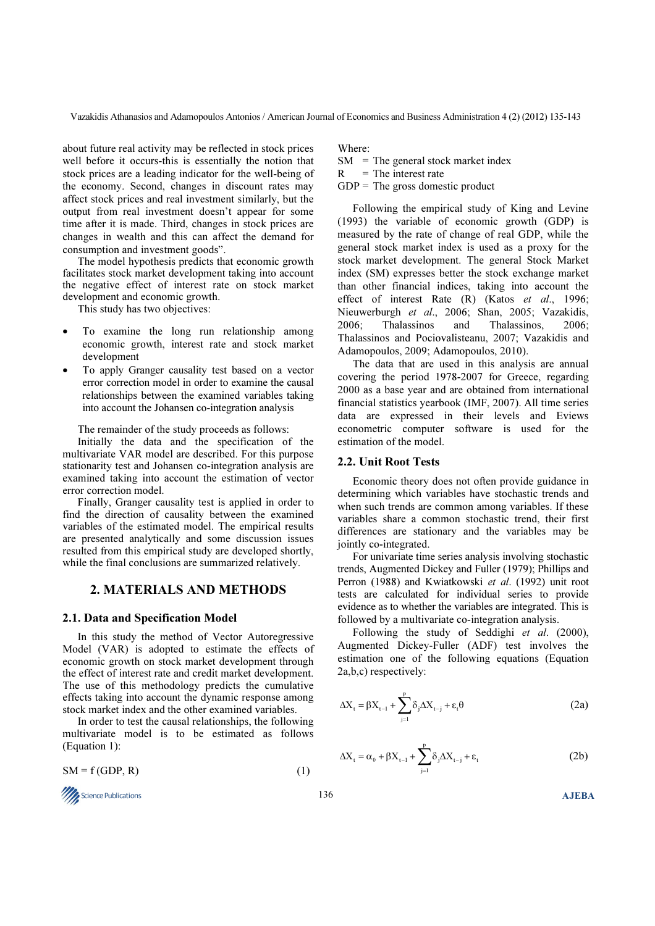about future real activity may be reflected in stock prices well before it occurs-this is essentially the notion that stock prices are a leading indicator for the well-being of the economy. Second, changes in discount rates may affect stock prices and real investment similarly, but the output from real investment doesn't appear for some time after it is made. Third, changes in stock prices are changes in wealth and this can affect the demand for consumption and investment goods".

The model hypothesis predicts that economic growth facilitates stock market development taking into account the negative effect of interest rate on stock market development and economic growth.

This study has two objectives:

- To examine the long run relationship among economic growth, interest rate and stock market development
- To apply Granger causality test based on a vector error correction model in order to examine the causal relationships between the examined variables taking into account the Johansen co-integration analysis

The remainder of the study proceeds as follows:

Initially the data and the specification of the multivariate VAR model are described. For this purpose stationarity test and Johansen co-integration analysis are examined taking into account the estimation of vector error correction model.

Finally, Granger causality test is applied in order to find the direction of causality between the examined variables of the estimated model. The empirical results are presented analytically and some discussion issues resulted from this empirical study are developed shortly, while the final conclusions are summarized relatively.

#### 2. MATERIALS AND METHODS

#### 2.1. Data and Specification Model

In this study the method of Vector Autoregressive Model (VAR) is adopted to estimate the effects of economic growth on stock market development through the effect of interest rate and credit market development. The use of this methodology predicts the cumulative effects taking into account the dynamic response among stock market index and the other examined variables.

In order to test the causal relationships, the following multivariate model is to be estimated as follows (Equation 1):

$$
SM = f(GDP, R) \tag{1}
$$

Science Publications  $136$   $AJEBA$ 

Where:

 $SM$  = The general stock market index  $R =$ The interest rate

 $GDP = The gross domestic product$ 

Following the empirical study of King and Levine (1993) the variable of economic growth (GDP) is measured by the rate of change of real GDP, while the general stock market index is used as a proxy for the stock market development. The general Stock Market index (SM) expresses better the stock exchange market than other financial indices, taking into account the effect of interest Rate (R) (Katos et al., 1996; Nieuwerburgh et al., 2006; Shan, 2005; Vazakidis, 2006; Thalassinos and Thalassinos, 2006; Thalassinos and Pociovalisteanu, 2007; Vazakidis and Adamopoulos, 2009; Adamopoulos, 2010).

The data that are used in this analysis are annual covering the period 1978-2007 for Greece, regarding 2000 as a base year and are obtained from international financial statistics yearbook (IMF, 2007). All time series data are expressed in their levels and Eviews econometric computer software is used for the estimation of the model.

#### 2.2. Unit Root Tests

Economic theory does not often provide guidance in determining which variables have stochastic trends and when such trends are common among variables. If these variables share a common stochastic trend, their first differences are stationary and the variables may be jointly co-integrated.

For univariate time series analysis involving stochastic trends, Augmented Dickey and Fuller (1979); Phillips and Perron (1988) and Kwiatkowski et al. (1992) unit root tests are calculated for individual series to provide evidence as to whether the variables are integrated. This is followed by a multivariate co-integration analysis.

Following the study of Seddighi et al. (2000), Augmented Dickey-Fuller (ADF) test involves the estimation one of the following equations (Equation 2a,b,c) respectively:

$$
\Delta X_{t} = \beta X_{t-1} + \sum_{j=1}^{p} \delta_{j} \Delta X_{t-j} + \varepsilon_{t} \theta
$$
 (2a)

$$
\Delta X_t = \alpha_0 + \beta X_{t-1} + \sum_{j=1}^p \delta_j \Delta X_{t-j} + \varepsilon_t
$$
 (2b)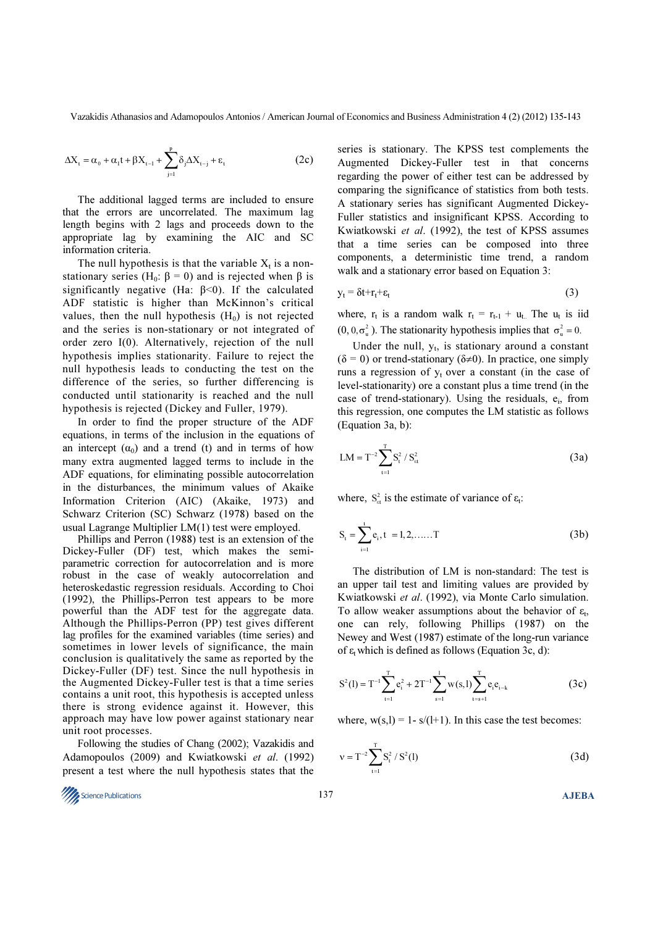$$
\Delta X_{t} = \alpha_{0} + \alpha_{1}t + \beta X_{t-1} + \sum_{j=1}^{p} \delta_{j} \Delta X_{t-j} + \varepsilon_{t}
$$
 (2c)

The additional lagged terms are included to ensure that the errors are uncorrelated. The maximum lag length begins with 2 lags and proceeds down to the appropriate lag by examining the AIC and SC information criteria.

The null hypothesis is that the variable  $X_t$  is a nonstationary series (H<sub>0</sub>: β = 0) and is rejected when β is significantly negative (Ha:  $\beta$ <0). If the calculated ADF statistic is higher than McKinnon's critical values, then the null hypothesis  $(H_0)$  is not rejected and the series is non-stationary or not integrated of order zero I(0). Alternatively, rejection of the null hypothesis implies stationarity. Failure to reject the null hypothesis leads to conducting the test on the difference of the series, so further differencing is conducted until stationarity is reached and the null hypothesis is rejected (Dickey and Fuller, 1979).

In order to find the proper structure of the ADF equations, in terms of the inclusion in the equations of an intercept  $(\alpha_0)$  and a trend (t) and in terms of how many extra augmented lagged terms to include in the ADF equations, for eliminating possible autocorrelation in the disturbances, the minimum values of Akaike Information Criterion (AIC) (Akaike, 1973) and Schwarz Criterion (SC) Schwarz (1978) based on the usual Lagrange Multiplier LM(1) test were employed.

Phillips and Perron (1988) test is an extension of the Dickey-Fuller (DF) test, which makes the semiparametric correction for autocorrelation and is more robust in the case of weakly autocorrelation and heteroskedastic regression residuals. According to Choi (1992), the Phillips-Perron test appears to be more powerful than the ADF test for the aggregate data. Although the Phillips-Perron (PP) test gives different lag profiles for the examined variables (time series) and sometimes in lower levels of significance, the main conclusion is qualitatively the same as reported by the Dickey-Fuller (DF) test. Since the null hypothesis in the Augmented Dickey-Fuller test is that a time series contains a unit root, this hypothesis is accepted unless there is strong evidence against it. However, this approach may have low power against stationary near unit root processes.

Following the studies of Chang (2002); Vazakidis and Adamopoulos (2009) and Kwiatkowski et al. (1992) present a test where the null hypothesis states that the series is stationary. The KPSS test complements the Augmented Dickey-Fuller test in that concerns regarding the power of either test can be addressed by comparing the significance of statistics from both tests. A stationary series has significant Augmented Dickey-Fuller statistics and insignificant KPSS. According to Kwiatkowski et al. (1992), the test of KPSS assumes that a time series can be composed into three components, a deterministic time trend, a random walk and a stationary error based on Equation 3:

$$
y_t = \delta t + r_t + \varepsilon_t \tag{3}
$$

where,  $r_t$  is a random walk  $r_t = r_{t-1} + u_{t-1}$  The  $u_t$  is iid  $(0, 0, \sigma_u^2)$ . The stationarity hypothesis implies that  $\sigma_u^2 = 0$ .

Under the null,  $y_t$ , is stationary around a constant  $(\delta = 0)$  or trend-stationary ( $\delta \neq 0$ ). In practice, one simply runs a regression of  $y_t$  over a constant (in the case of level-stationarity) ore a constant plus a time trend (in the case of trend-stationary). Using the residuals,  $e_i$ , from this regression, one computes the LM statistic as follows (Equation 3a, b):

$$
LM = T^{-2} \sum_{t=1}^{T} S_t^2 / S_{\text{st}}^2
$$
 (3a)

where,  $S_{\text{et}}^2$  is the estimate of variance of  $\varepsilon_t$ :

$$
S_{t} = \sum_{i=1}^{t} e_{i}, t = 1, 2, \dots, T
$$
 (3b)

The distribution of LM is non-standard: The test is an upper tail test and limiting values are provided by Kwiatkowski et al. (1992), via Monte Carlo simulation. To allow weaker assumptions about the behavior of  $\varepsilon_t$ , one can rely, following Phillips (1987) on the Newey and West (1987) estimate of the long-run variance of  $ε<sub>t</sub>$  which is defined as follows (Equation 3c, d):

$$
S^{2}(l) = T^{-1} \sum_{t=1}^{T} e_{i}^{2} + 2T^{-1} \sum_{s=1}^{l} w(s, l) \sum_{t=s+1}^{T} e_{i} e_{i-k}
$$
(3c)

where,  $w(s,l) = 1 - s/(l+1)$ . In this case the test becomes:

$$
v = T^{-2} \sum_{t=1}^{T} S_t^2 / S^2(l)
$$
 (3d)

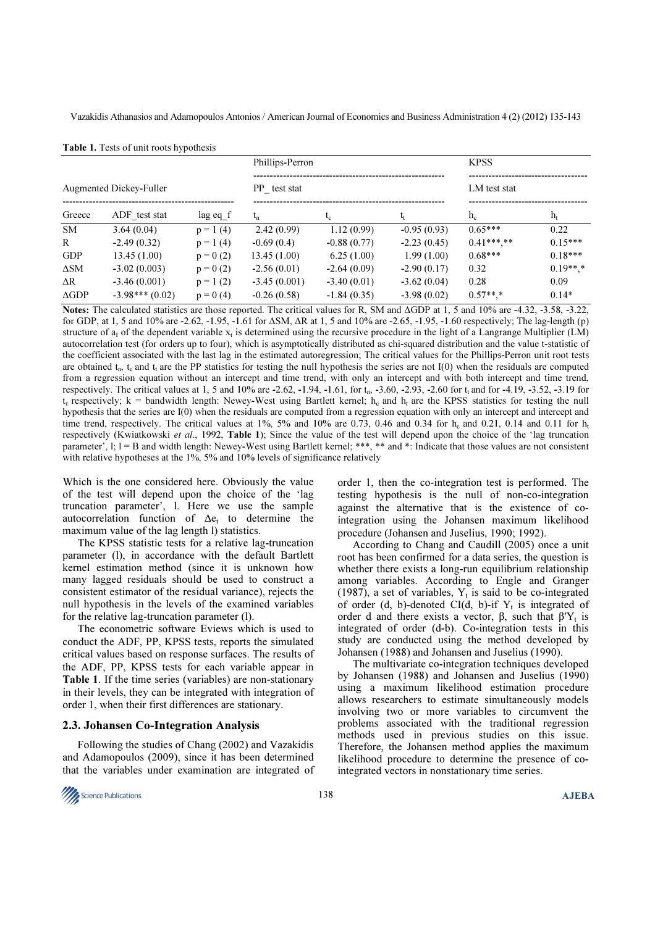| <b>Table 1.</b> Tests of unit roots hypothesis |                  |            |                 |               |               |              |           |
|------------------------------------------------|------------------|------------|-----------------|---------------|---------------|--------------|-----------|
|                                                |                  |            | Phillips-Perron |               |               | <b>KPSS</b>  |           |
| Augmented Dickey-Fuller                        |                  |            | PP test stat    |               |               | LM test stat |           |
| Greece                                         | ADF_test stat    | $lag eq_f$ | $t_{n}$         | $t_c$         | $t_{t}$       | $h_c$        | $h_{t}$   |
| <b>SM</b>                                      | 3.64(0.04)       | $p = 1(4)$ | 2.42(0.99)      | 1.12(0.99)    | $-0.95(0.93)$ | $0.65***$    | 0.22      |
| $\mathbf{R}$                                   | $-2.49(0.32)$    | $p = 1(4)$ | $-0.69(0.4)$    | $-0.88(0.77)$ | $-2.23(0.45)$ | $0.41***$ ** | $0.15***$ |
| <b>GDP</b>                                     | 13.45(1.00)      | $p = 0(2)$ | 13.45(1.00)     | 6.25(1.00)    | 1.99(1.00)    | $0.68***$    | $0.18***$ |
| $\Delta SM$                                    | $-3.02(0.003)$   | $p = 0(2)$ | $-2.56(0.01)$   | $-2.64(0.09)$ | $-2.90(0.17)$ | 0.32         | $0.19**$  |
| ΔR                                             | $-3.46(0.001)$   | $p = 1(2)$ | $-3.45(0.001)$  | $-3.40(0.01)$ | $-3.62(0.04)$ | 0.28         | 0.09      |
| $\triangle$ GDP                                | $-3.98***(0.02)$ | $p = 0(4)$ | $-0.26(0.58)$   | $-1.84(0.35)$ | $-3.98(0.02)$ | $0.57**$ .*  | $0.14*$   |

Notes: The calculated statistics are those reported. The critical values for R, SM and ∆GDP at 1, 5 and 10% are -4.32, -3.58, -3.22, for GDP, at 1, 5 and 10% are -2.62, -1.95, -1.61 for ∆SM, ∆R at 1, 5 and 10% are -2.65, -1.95, -1.60 respectively; The lag-length (p) structure of  $a<sub>I</sub>$  of the dependent variable  $x<sub>t</sub>$  is determined using the recursive procedure in the light of a Langrange Multiplier (LM) autocorrelation test (for orders up to four), which is asymptotically distributed as chi-squared distribution and the value t-statistic of the coefficient associated with the last lag in the estimated autoregression; The critical values for the Phillips-Perron unit root tests are obtained  $t_n$ ,  $t_c$  and  $t_t$  are the PP statistics for testing the null hypothesis the series are not  $I(0)$  when the residuals are computed from a regression equation without an intercept and time trend, with only an intercept and with both intercept and time trend, respectively. The critical values at 1, 5 and 10% are -2.62, -1.94, -1.61, for  $t_n$ , -3.60, -2.93, -2.60 for  $t_t$  and for -4.19, -3.52, -3.19 for  $t_r$  respectively; k = bandwidth length: Newey-West using Bartlett kernel;  $h_c$  and  $h_t$  are the KPSS statistics for testing the null hypothesis that the series are I(0) when the residuals are computed from a regression equation with only an intercept and intercept and time trend, respectively. The critical values at 1%, 5% and 10% are 0.73, 0.46 and 0.34 for  $h_c$  and 0.21, 0.14 and 0.11 for  $h_t$ respectively (Kwiatkowski et al., 1992, Table 1); Since the value of the test will depend upon the choice of the 'lag truncation parameter', l; l = B and width length: Newey-West using Bartlett kernel; \*\*\*, \*\* and \*: Indicate that those values are not consistent with relative hypotheses at the  $1\%$ ,  $5\%$  and  $10\%$  levels of significance relatively

Which is the one considered here. Obviously the value of the test will depend upon the choice of the 'lag truncation parameter', l. Here we use the sample autocorrelation function of  $\Delta e_t$  to determine the maximum value of the lag length l) statistics.

The KPSS statistic tests for a relative lag-truncation parameter (l), in accordance with the default Bartlett kernel estimation method (since it is unknown how many lagged residuals should be used to construct a consistent estimator of the residual variance), rejects the null hypothesis in the levels of the examined variables for the relative lag-truncation parameter (l).

The econometric software Eviews which is used to conduct the ADF, PP, KPSS tests, reports the simulated critical values based on response surfaces. The results of the ADF, PP, KPSS tests for each variable appear in Table 1. If the time series (variables) are non-stationary in their levels, they can be integrated with integration of order 1, when their first differences are stationary.

#### 2.3. Johansen Co-Integration Analysis

Following the studies of Chang (2002) and Vazakidis and Adamopoulos (2009), since it has been determined that the variables under examination are integrated of order 1, then the co-integration test is performed. The testing hypothesis is the null of non-co-integration against the alternative that is the existence of cointegration using the Johansen maximum likelihood procedure (Johansen and Juselius, 1990; 1992).

According to Chang and Caudill (2005) once a unit root has been confirmed for a data series, the question is whether there exists a long-run equilibrium relationship among variables. According to Engle and Granger (1987), a set of variables,  $Y_t$  is said to be co-integrated of order (d, b)-denoted CI(d, b)-if  $Y_t$  is integrated of order d and there exists a vector,  $\beta$ , such that  $\beta'Y_t$  is integrated of order (d-b). Co-integration tests in this study are conducted using the method developed by Johansen (1988) and Johansen and Juselius (1990).

The multivariate co-integration techniques developed by Johansen (1988) and Johansen and Juselius (1990) using a maximum likelihood estimation procedure allows researchers to estimate simultaneously models involving two or more variables to circumvent the problems associated with the traditional regression methods used in previous studies on this issue. Therefore, the Johansen method applies the maximum likelihood procedure to determine the presence of cointegrated vectors in nonstationary time series.

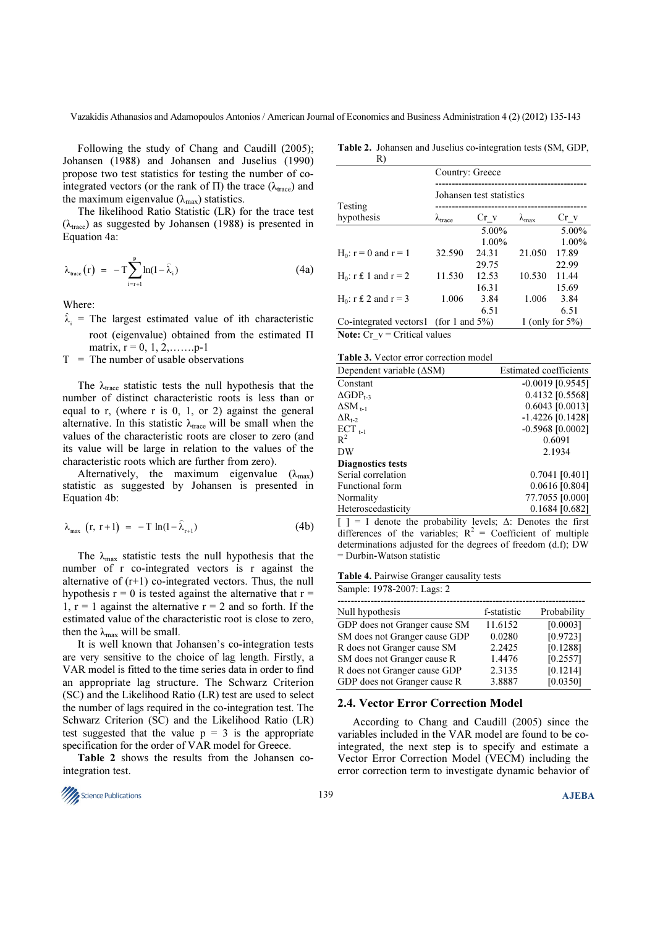Following the study of Chang and Caudill (2005); Johansen (1988) and Johansen and Juselius (1990) propose two test statistics for testing the number of cointegrated vectors (or the rank of Π) the trace ( $\lambda_{\text{trace}}$ ) and the maximum eigenvalue  $(\lambda_{\text{max}})$  statistics.

The likelihood Ratio Statistic (LR) for the trace test  $(\lambda_{\text{trace}})$  as suggested by Johansen (1988) is presented in Equation 4a:

$$
\lambda_{\text{trace}}(r) = -T \sum_{i=r+1}^{p} \ln(1 - \widehat{\lambda}_{i}) \tag{4a}
$$

Where:

- $\hat{\lambda}_i$  = The largest estimated value of ith characteristic root (eigenvalue) obtained from the estimated Π matrix,  $r = 0, 1, 2, \ldots, p-1$
- $T =$ The number of usable observations

The  $\lambda_{\text{trace}}$  statistic tests the null hypothesis that the number of distinct characteristic roots is less than or equal to r, (where r is 0, 1, or 2) against the general alternative. In this statistic  $\lambda_{\text{trace}}$  will be small when the values of the characteristic roots are closer to zero (and its value will be large in relation to the values of the characteristic roots which are further from zero).

Alternatively, the maximum eigenvalue ( $\lambda_{\text{max}}$ ) statistic as suggested by Johansen is presented in Equation 4b:

$$
\lambda_{\max} \left( \mathbf{r}, \, \mathbf{r} + \mathbf{l} \right) = -\mathbf{T} \, \ln(1 - \widehat{\lambda}_{\mathbf{r} + \mathbf{l}}) \tag{4b}
$$

The  $\lambda_{\text{max}}$  statistic tests the null hypothesis that the number of r co-integrated vectors is r against the alternative of  $(r+1)$  co-integrated vectors. Thus, the null hypothesis  $r = 0$  is tested against the alternative that  $r =$ 1,  $r = 1$  against the alternative  $r = 2$  and so forth. If the estimated value of the characteristic root is close to zero, then the  $\lambda_{\text{max}}$  will be small.

It is well known that Johansen's co-integration tests are very sensitive to the choice of lag length. Firstly, a VAR model is fitted to the time series data in order to find an appropriate lag structure. The Schwarz Criterion (SC) and the Likelihood Ratio (LR) test are used to select the number of lags required in the co-integration test. The Schwarz Criterion (SC) and the Likelihood Ratio (LR) test suggested that the value  $p = 3$  is the appropriate specification for the order of VAR model for Greece.

Table 2 shows the results from the Johansen cointegration test.



Table 2. Johansen and Juselius co-integration tests (SM, GDP, R)

|                                                                    | Country: Greece          |          |                        |                     |
|--------------------------------------------------------------------|--------------------------|----------|------------------------|---------------------|
|                                                                    | Johansen test statistics |          |                        |                     |
| Testing                                                            |                          |          |                        |                     |
| hypothesis                                                         | $\lambda_{\text{trace}}$ | $Cr$ v   | $\lambda_{\text{max}}$ | Cr v                |
|                                                                    |                          | 5.00%    |                        | 5.00%               |
|                                                                    |                          | $1.00\%$ |                        | $1.00\%$            |
| $H_0: r = 0$ and $r = 1$                                           | 32.590                   | 24.31    | 21.050                 | 17.89               |
|                                                                    |                          | 29.75    |                        | 22.99               |
| $H_0$ : r £ 1 and r = 2                                            | 11.530                   | 12.53    | 10.530                 | 11.44               |
|                                                                    |                          | 16.31    |                        | 15.69               |
| H <sub>0</sub> : r £ 2 and r = 3                                   | 1.006                    | 3.84     | 1.006                  | 3.84                |
|                                                                    |                          | 6.51     |                        | 6.51                |
| Co-integrated vectors $1$ (for $1$ and $5\%$ )                     |                          |          |                        | 1 (only for $5\%$ ) |
| $\sim$ $\sim$ $\sim$ $\sim$ $\sim$ $\sim$<br>$\mathbf{r}$ $\alpha$ |                          |          |                        |                     |

Note: Cr\_v = Critical values

Table 3. Vector error correction model

| <b>Estimated coefficients</b> |
|-------------------------------|
| $-0.0019$ [0.9545]            |
| 0.4132 [0.5568]               |
| $0.6043$ [0.0013]             |
| $-1.4226$ [0.1428]            |
| $-0.5968$ [0.0002]            |
| 0.6091                        |
| 2.1934                        |
|                               |
| $0.7041$ [0.401]              |
| 0.0616 [0.804]                |
| 77.7055 [0.000]               |
| $0.1684$ [0.682]              |
|                               |

 $\begin{bmatrix} \ \end{bmatrix}$  = I denote the probability levels;  $\Delta$ : Denotes the first differences of the variables;  $R^2$  = Coefficient of multiple determinations adjusted for the degrees of freedom (d.f); DW = Durbin-Watson statistic

| Table 4. Pairwise Granger causality tests |
|-------------------------------------------|
|-------------------------------------------|

|  | Sample: 1978-2007: Lags: 2 |  |  |
|--|----------------------------|--|--|
|--|----------------------------|--|--|

| Null hypothesis               | f-statistic | Probability |
|-------------------------------|-------------|-------------|
| GDP does not Granger cause SM | 11.6152     | [0.0003]    |
| SM does not Granger cause GDP | 0.0280      | [0.9723]    |
| R does not Granger cause SM   | 2.2425      | [0.1288]    |
| SM does not Granger cause R   | 1.4476      | [0.2557]    |
| R does not Granger cause GDP  | 2.3135      | [0.1214]    |
| GDP does not Granger cause R  | 3.8887      | [0.0350]    |

#### 2.4. Vector Error Correction Model

According to Chang and Caudill (2005) since the variables included in the VAR model are found to be cointegrated, the next step is to specify and estimate a Vector Error Correction Model (VECM) including the error correction term to investigate dynamic behavior of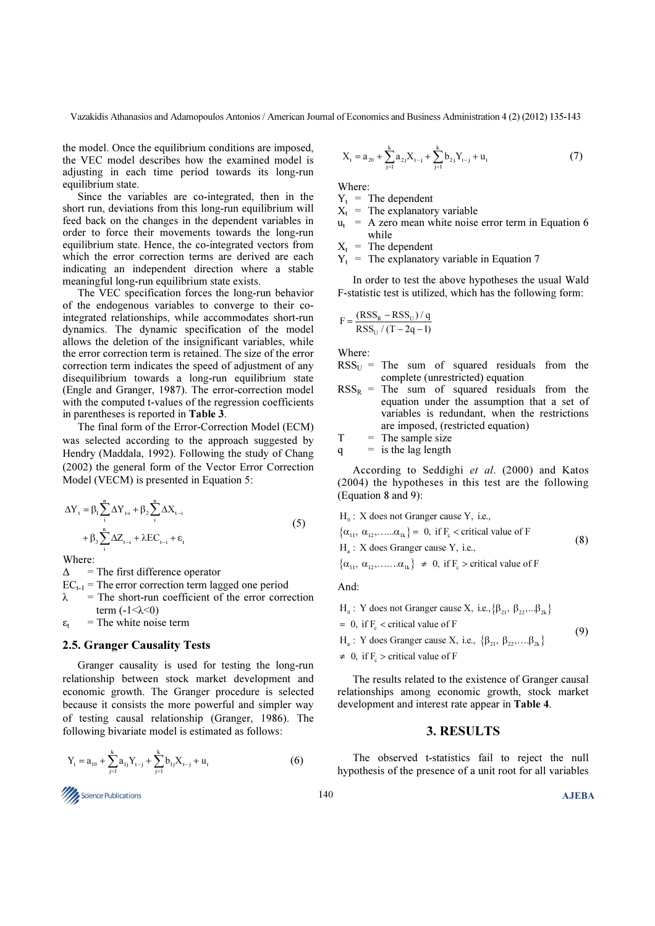the model. Once the equilibrium conditions are imposed, the VEC model describes how the examined model is adjusting in each time period towards its long-run equilibrium state.

Since the variables are co-integrated, then in the short run, deviations from this long-run equilibrium will feed back on the changes in the dependent variables in order to force their movements towards the long-run equilibrium state. Hence, the co-integrated vectors from which the error correction terms are derived are each indicating an independent direction where a stable meaningful long-run equilibrium state exists.

The VEC specification forces the long-run behavior of the endogenous variables to converge to their cointegrated relationships, while accommodates short-run dynamics. The dynamic specification of the model allows the deletion of the insignificant variables, while the error correction term is retained. The size of the error correction term indicates the speed of adjustment of any disequilibrium towards a long-run equilibrium state (Engle and Granger, 1987). The error-correction model with the computed t-values of the regression coefficients in parentheses is reported in Table 3.

The final form of the Error-Correction Model (ECM) was selected according to the approach suggested by Hendry (Maddala, 1992). Following the study of Chang (2002) the general form of the Vector Error Correction Model (VECM) is presented in Equation 5:

$$
\Delta Y_{t} = \beta_{1} \sum_{i}^{n} \Delta Y_{t,i} + \beta_{2} \sum_{i}^{n} \Delta X_{t-i}
$$
  
+ 
$$
\beta_{3} \sum_{i}^{n} \Delta Z_{t-i} + \lambda E C_{t-i} + \varepsilon_{t}
$$
 (5)

Where:

- $\Delta$  = The first difference operator
- $EC_{t-1}$  = The error correction term lagged one period
- $\lambda$  = The short-run coefficient of the error correction term  $(-1<\lambda<0)$
- $\varepsilon_t$  = The white noise term

#### 2.5. Granger Causality Tests

Granger causality is used for testing the long-run relationship between stock market development and economic growth. The Granger procedure is selected because it consists the more powerful and simpler way of testing causal relationship (Granger, 1986). The following bivariate model is estimated as follows:

$$
Y_{t} = a_{10} + \sum_{j=1}^{k} a_{1j} Y_{t-j} + \sum_{j=1}^{k} b_{1j} X_{t-j} + u_{t}
$$
 (6)

$$
140
$$
 **Notice Publications** AJEBA

$$
X_{t} = a_{20} + \sum_{j=1}^{k} a_{2j} X_{t-j} + \sum_{j=1}^{k} b_{2j} Y_{t-j} + u_{t}
$$
 (7)

Where:

 $Y_t$  = The dependent

- $X_t$  = The explanatory variable
- $u_t$  = A zero mean white noise error term in Equation 6 while

 $X_t$  = The dependent

 $Y_t$  = The explanatory variable in Equation 7

In order to test the above hypotheses the usual Wald F-statistic test is utilized, which has the following form:

$$
F = \frac{(RSSR - RSSU) / q}{RSSU / (T - 2q - 1)}
$$

Where:

- $RSS_{U}$  = The sum of squared residuals from the complete (unrestricted) equation
- $RSS<sub>R</sub>$  = The sum of squared residuals from the equation under the assumption that a set of variables is redundant, when the restrictions are imposed, (restricted equation)

 $T =$ The sample size

 $q =$  is the lag length

According to Seddighi et al. (2000) and Katos (2004) the hypotheses in this test are the following (Equation 8 and 9):

H<sub>0</sub>: X does not Granger cause Y, i.e.,  
\n
$$
\{\alpha_{11}, \alpha_{12}, \ldots, \alpha_{1k}\} = 0
$$
, if F<sub>c</sub> *<* critical value of F  
\nH<sub>a</sub>: X does Granger cause Y, i.e.,  
\n $\{\alpha_{11}, \alpha_{12}, \ldots, \alpha_{1k}\} \neq 0$ , if F<sub>c</sub> *>* critical value of F\n $\{(8\}$ 

And:

- H<sub>0</sub>: Y does not Granger cause X, i.e.,  $\{\beta_{21}, \beta_{22},...\beta_{2k}\}\$  $= 0$ , if  $F_c$  < critical value of F (9)
- $H_a$ : Y does Granger cause X, i.e.,  $\{\beta_{21}, \beta_{22},...\beta_{2k}\}\$

 $\neq$  0, if  $F_c$  > critical value of F

The results related to the existence of Granger causal relationships among economic growth, stock market development and interest rate appear in Table 4.

#### 3. RESULTS

The observed t-statistics fail to reject the null hypothesis of the presence of a unit root for all variables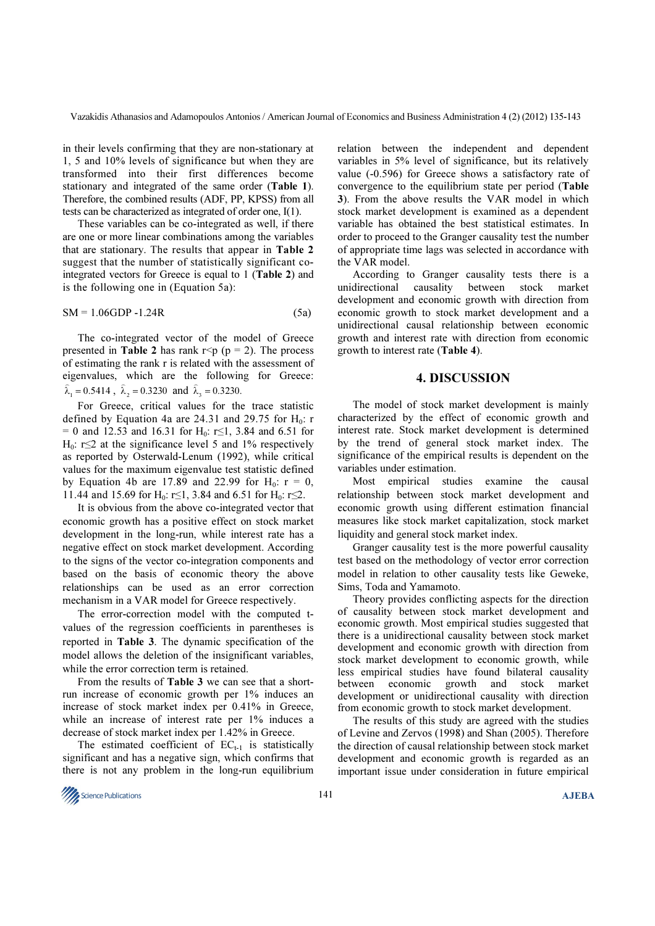in their levels confirming that they are non-stationary at 1, 5 and 10% levels of significance but when they are transformed into their first differences become stationary and integrated of the same order (Table 1). Therefore, the combined results (ADF, PP, KPSS) from all tests can be characterized as integrated of order one, I(1).

These variables can be co-integrated as well, if there are one or more linear combinations among the variables that are stationary. The results that appear in Table 2 suggest that the number of statistically significant cointegrated vectors for Greece is equal to 1 (Table 2) and is the following one in (Equation 5a):

$$
SM = 1.06GDP - 1.24R \tag{5a}
$$

The co-integrated vector of the model of Greece presented in **Table 2** has rank r  $(p = 2)$ . The process of estimating the rank r is related with the assessment of eigenvalues, which are the following for Greece:  $\hat{\lambda}_1 = 0.5414$ ,  $\hat{\lambda}_2 = 0.3230$  and  $\hat{\lambda}_3 = 0.3230$ .

For Greece, critical values for the trace statistic defined by Equation 4a are 24.31 and 29.75 for  $H_0$ : r  $= 0$  and 12.53 and 16.31 for H<sub>0</sub>: r≤1, 3.84 and 6.51 for H<sub>0</sub>: r $\leq$ 2 at the significance level 5 and 1% respectively as reported by Osterwald-Lenum (1992), while critical values for the maximum eigenvalue test statistic defined by Equation 4b are 17.89 and 22.99 for  $H_0$ :  $r = 0$ , 11.44 and 15.69 for H<sub>0</sub>: r≤1, 3.84 and 6.51 for H<sub>0</sub>: r≤2.

It is obvious from the above co-integrated vector that economic growth has a positive effect on stock market development in the long-run, while interest rate has a negative effect on stock market development. According to the signs of the vector co-integration components and based on the basis of economic theory the above relationships can be used as an error correction mechanism in a VAR model for Greece respectively.

The error-correction model with the computed tvalues of the regression coefficients in parentheses is reported in Table 3. The dynamic specification of the model allows the deletion of the insignificant variables, while the error correction term is retained.

From the results of Table 3 we can see that a shortrun increase of economic growth per 1% induces an increase of stock market index per 0.41% in Greece, while an increase of interest rate per 1% induces a decrease of stock market index per 1.42% in Greece.

The estimated coefficient of  $EC_{t-1}$  is statistically significant and has a negative sign, which confirms that there is not any problem in the long-run equilibrium relation between the independent and dependent variables in 5% level of significance, but its relatively value (-0.596) for Greece shows a satisfactory rate of convergence to the equilibrium state per period (Table 3). From the above results the VAR model in which stock market development is examined as a dependent variable has obtained the best statistical estimates. In order to proceed to the Granger causality test the number of appropriate time lags was selected in accordance with the VAR model.

According to Granger causality tests there is a unidirectional causality between stock market development and economic growth with direction from economic growth to stock market development and a unidirectional causal relationship between economic growth and interest rate with direction from economic growth to interest rate (Table 4).

## 4. DISCUSSION

The model of stock market development is mainly characterized by the effect of economic growth and interest rate. Stock market development is determined by the trend of general stock market index. The significance of the empirical results is dependent on the variables under estimation.

Most empirical studies examine the causal relationship between stock market development and economic growth using different estimation financial measures like stock market capitalization, stock market liquidity and general stock market index.

Granger causality test is the more powerful causality test based on the methodology of vector error correction model in relation to other causality tests like Geweke, Sims, Toda and Yamamoto.

Theory provides conflicting aspects for the direction of causality between stock market development and economic growth. Most empirical studies suggested that there is a unidirectional causality between stock market development and economic growth with direction from stock market development to economic growth, while less empirical studies have found bilateral causality between economic growth and stock market development or unidirectional causality with direction from economic growth to stock market development.

The results of this study are agreed with the studies of Levine and Zervos (1998) and Shan (2005). Therefore the direction of causal relationship between stock market development and economic growth is regarded as an important issue under consideration in future empirical

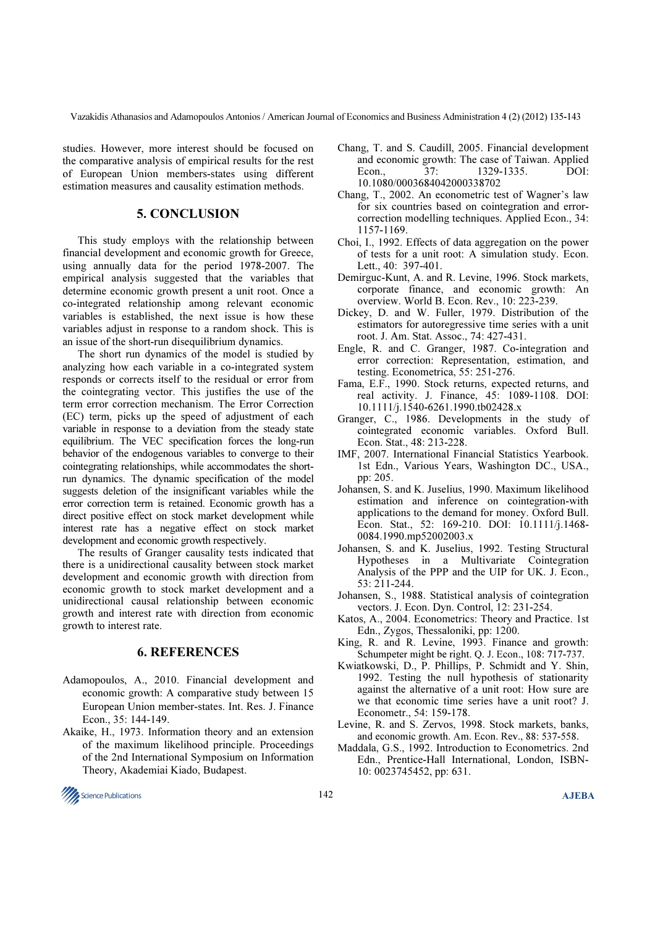studies. However, more interest should be focused on the comparative analysis of empirical results for the rest of European Union members-states using different estimation measures and causality estimation methods.

# 5. CONCLUSION

This study employs with the relationship between financial development and economic growth for Greece, using annually data for the period 1978-2007. The empirical analysis suggested that the variables that determine economic growth present a unit root. Once a co-integrated relationship among relevant economic variables is established, the next issue is how these variables adjust in response to a random shock. This is an issue of the short-run disequilibrium dynamics.

The short run dynamics of the model is studied by analyzing how each variable in a co-integrated system responds or corrects itself to the residual or error from the cointegrating vector. This justifies the use of the term error correction mechanism. The Error Correction (EC) term, picks up the speed of adjustment of each variable in response to a deviation from the steady state equilibrium. The VEC specification forces the long-run behavior of the endogenous variables to converge to their cointegrating relationships, while accommodates the shortrun dynamics. The dynamic specification of the model suggests deletion of the insignificant variables while the error correction term is retained. Economic growth has a direct positive effect on stock market development while interest rate has a negative effect on stock market development and economic growth respectively.

The results of Granger causality tests indicated that there is a unidirectional causality between stock market development and economic growth with direction from economic growth to stock market development and a unidirectional causal relationship between economic growth and interest rate with direction from economic growth to interest rate.

## 6. REFERENCES

- Adamopoulos, A., 2010. Financial development and economic growth: A comparative study between 15 European Union member-states. Int. Res. J. Finance Econ., 35: 144-149.
- Akaike, H., 1973. Information theory and an extension of the maximum likelihood principle. Proceedings of the 2nd International Symposium on Information Theory, Akademiai Kiado, Budapest.
- Chang, T. and S. Caudill, 2005. Financial development and economic growth: The case of Taiwan. Applied Econ., 37: 1329-1335. DOI: 10.1080/0003684042000338702
- Chang, T., 2002. An econometric test of Wagner's law for six countries based on cointegration and errorcorrection modelling techniques. Applied Econ., 34: 1157-1169.
- Choi, I., 1992. Effects of data aggregation on the power of tests for a unit root: A simulation study. Econ. Lett., 40: 397-401.
- Demirguc-Kunt, A. and R. Levine, 1996. Stock markets, corporate finance, and economic growth: An overview. World B. Econ. Rev., 10: 223-239.
- Dickey, D. and W. Fuller, 1979. Distribution of the estimators for autoregressive time series with a unit root. J. Am. Stat. Assoc., 74: 427-431.
- Engle, R. and C. Granger, 1987. Co-integration and error correction: Representation, estimation, and testing. Econometrica, 55: 251-276.
- Fama, E.F., 1990. Stock returns, expected returns, and real activity. J. Finance, 45: 1089-1108. DOI: 10.1111/j.1540-6261.1990.tb02428.x
- Granger, C., 1986. Developments in the study of cointegrated economic variables. Oxford Bull. Econ. Stat., 48: 213-228.
- IMF, 2007. International Financial Statistics Yearbook. 1st Edn., Various Years, Washington DC., USA., pp: 205.
- Johansen, S. and K. Juselius, 1990. Maximum likelihood estimation and inference on cointegration-with applications to the demand for money. Oxford Bull. Econ. Stat., 52: 169-210. DOI: 10.1111/j.1468- 0084.1990.mp52002003.x
- Johansen, S. and K. Juselius, 1992. Testing Structural Hypotheses in a Multivariate Cointegration Analysis of the PPP and the UIP for UK. J. Econ., 53: 211-244.
- Johansen, S., 1988. Statistical analysis of cointegration vectors. J. Econ. Dyn. Control, 12: 231-254.
- Katos, A., 2004. Econometrics: Theory and Practice. 1st Edn., Zygos, Thessaloniki, pp: 1200.
- King, R. and R. Levine, 1993. Finance and growth: Schumpeter might be right. Q. J. Econ., 108: 717-737.
- Kwiatkowski, D., P. Phillips, P. Schmidt and Y. Shin, 1992. Testing the null hypothesis of stationarity against the alternative of a unit root: How sure are we that economic time series have a unit root? J. Econometr., 54: 159-178.
- Levine, R. and S. Zervos, 1998. Stock markets, banks, and economic growth. Am. Econ. Rev., 88: 537-558.
- Maddala, G.S., 1992. Introduction to Econometrics. 2nd Edn., Prentice-Hall International, London, ISBN-10: 0023745452, pp: 631.